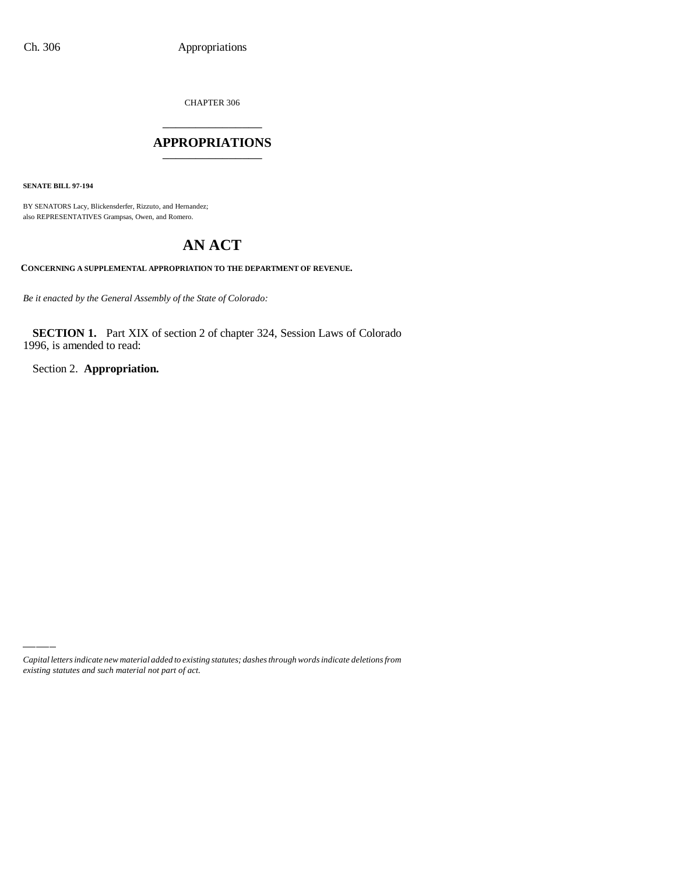CHAPTER 306

# \_\_\_\_\_\_\_\_\_\_\_\_\_\_\_ **APPROPRIATIONS** \_\_\_\_\_\_\_\_\_\_\_\_\_\_\_

**SENATE BILL 97-194**

BY SENATORS Lacy, Blickensderfer, Rizzuto, and Hernandez; also REPRESENTATIVES Grampsas, Owen, and Romero.

# **AN ACT**

**CONCERNING A SUPPLEMENTAL APPROPRIATION TO THE DEPARTMENT OF REVENUE.**

*Be it enacted by the General Assembly of the State of Colorado:*

**SECTION 1.** Part XIX of section 2 of chapter 324, Session Laws of Colorado 1996, is amended to read:

Section 2. **Appropriation.**

*Capital letters indicate new material added to existing statutes; dashes through words indicate deletions from existing statutes and such material not part of act.*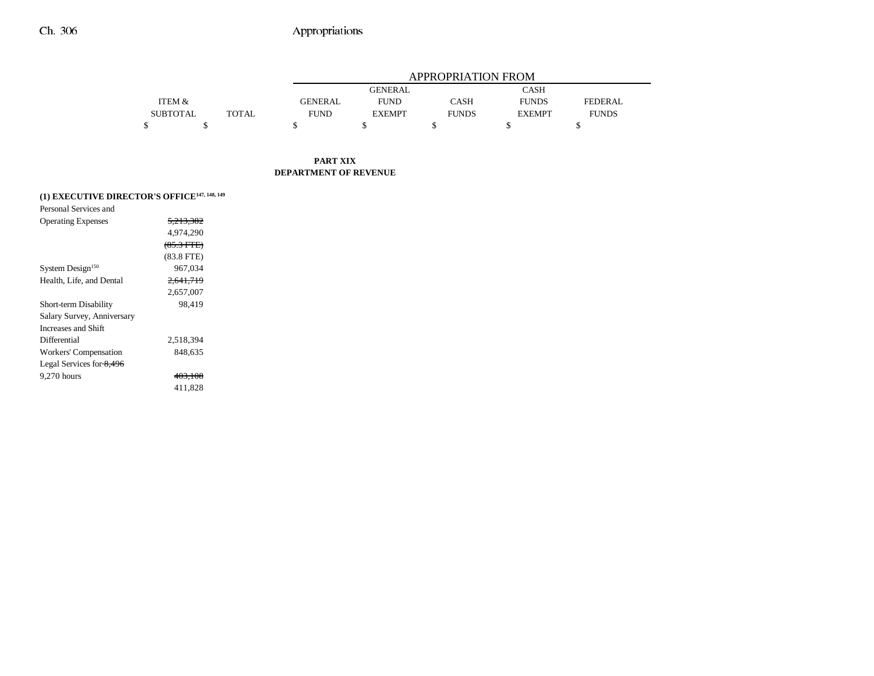|                 |       |             | APPROPRIATION FROM |              |               |                |  |  |
|-----------------|-------|-------------|--------------------|--------------|---------------|----------------|--|--|
|                 |       |             | <b>GENERAL</b>     |              | CASH          |                |  |  |
| ITEM &          |       | GENERAL     | <b>FUND</b>        | CASH         | <b>FUNDS</b>  | <b>FEDERAL</b> |  |  |
| <b>SUBTOTAL</b> | TOTAL | <b>FUND</b> | <b>EXEMPT</b>      | <b>FUNDS</b> | <b>EXEMPT</b> | <b>FUNDS</b>   |  |  |
|                 |       |             |                    |              |               |                |  |  |

#### **PART XIX DEPARTMENT OF REVENUE**

# **(1) EXECUTIVE DIRECTOR'S OFFICE147, 148, 149**

| <del>5.213.382</del> |  |
|----------------------|--|
| 4.974.290            |  |
| $(85.3$ FTE)         |  |
| $(83.8$ FTE)         |  |
| 967.034              |  |
| 2,641,719            |  |
| 2.657.007            |  |
| 98.419               |  |
|                      |  |
|                      |  |
| 2.518.394            |  |
| 848.635              |  |
|                      |  |
| <del>403.108</del>   |  |
| 411.828              |  |
|                      |  |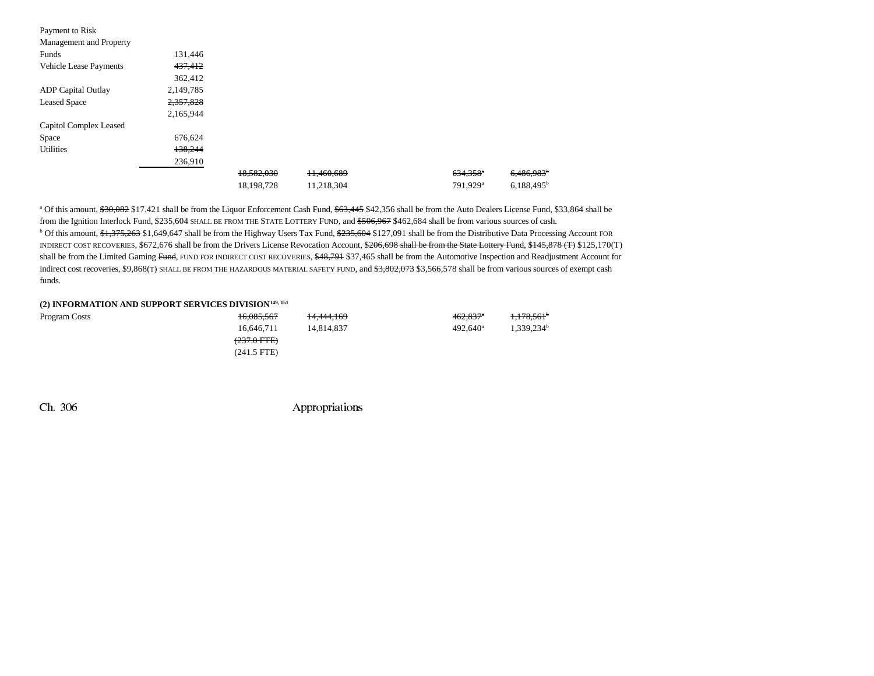| Payment to Risk               |           |            |            |                        |                     |
|-------------------------------|-----------|------------|------------|------------------------|---------------------|
| Management and Property       |           |            |            |                        |                     |
| Funds                         | 131,446   |            |            |                        |                     |
| <b>Vehicle Lease Payments</b> | 437,412   |            |            |                        |                     |
|                               | 362,412   |            |            |                        |                     |
| <b>ADP</b> Capital Outlay     | 2,149,785 |            |            |                        |                     |
| <b>Leased Space</b>           | 2,357,828 |            |            |                        |                     |
|                               | 2,165,944 |            |            |                        |                     |
| Capitol Complex Leased        |           |            |            |                        |                     |
| Space                         | 676,624   |            |            |                        |                     |
| <b>Utilities</b>              | 138,244   |            |            |                        |                     |
|                               | 236,910   |            |            |                        |                     |
|                               |           | 18,582,030 | 11,460,689 | $634,358$ <sup>*</sup> | 6,486,983           |
|                               |           | 18,198,728 | 11,218,304 | 791.929 <sup>a</sup>   | $6,188,495^{\rm b}$ |

<sup>a</sup> Of this amount,  $\frac{630,082}{17,421}$  shall be from the Liquor Enforcement Cash Fund,  $\frac{63,445}{17,45}$  \$42,356 shall be from the Auto Dealers License Fund, \$33,864 shall be from the Ignition Interlock Fund, \$235,604 SHALL BE FROM THE STATE LOTTERY FUND, and <del>\$506,967</del> \$462,684 shall be from various sources of cash. <sup>b</sup> Of this amount, \$1,375,263 \$1,649,647 shall be from the Highway Users Tax Fund, \$235,604 \$127,091 shall be from the Distributive Data Processing Account FOR INDIRECT COST RECOVERIES, \$672,676 shall be from the Drivers License Revocation Account, \$206,698 shall be from the State Lottery Fund, \$145,878 (T) \$125,170(T) shall be from the Limited Gaming Fund, FUND FOR INDIRECT COST RECOVERIES, \$48,791 \$37,465 shall be from the Automotive Inspection and Readjustment Account for indirect cost recoveries, \$9,868(T) SHALL BE FROM THE HAZARDOUS MATERIAL SAFETY FUND, and \$3,802,073 \$3,566,578 shall be from various sources of exempt cash funds.

#### **(2) INFORMATION AND SUPPORT SERVICES DIVISION149, 151**

| Program Costs | 16,085,567            | 14.444.169 | $462.837$ <sup>a</sup> | 1,178,561              |
|---------------|-----------------------|------------|------------------------|------------------------|
|               | 16.646.711            | 14.814.837 | $492.640^{\circ}$      | 1.339.234 <sup>b</sup> |
|               | $(237.0 \text{ FFE})$ |            |                        |                        |
|               | (241.5 FTE)           |            |                        |                        |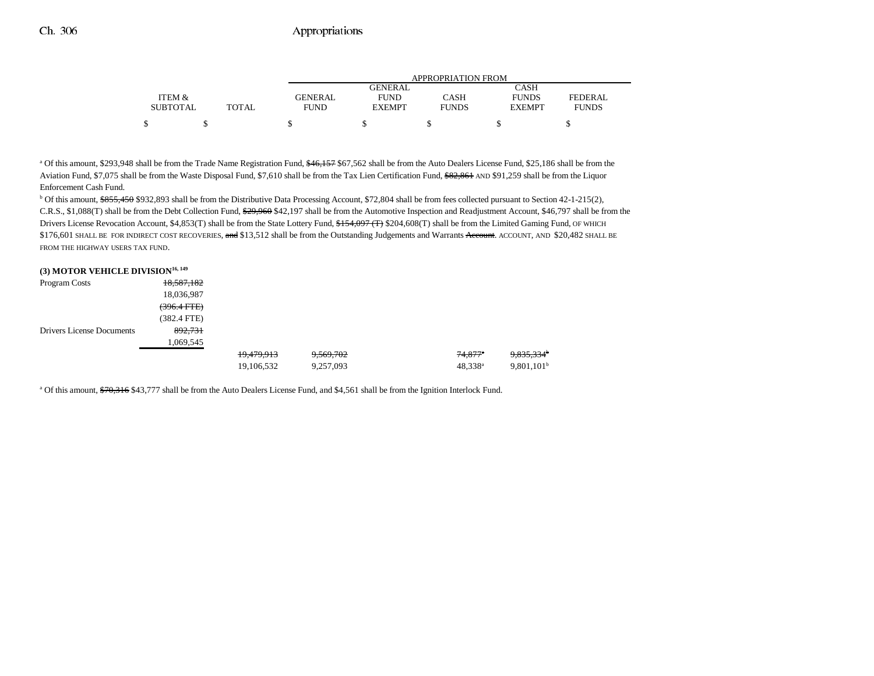|                 |              | APPROPRIATION FROM |                |              |               |              |  |  |
|-----------------|--------------|--------------------|----------------|--------------|---------------|--------------|--|--|
|                 |              |                    | <b>GENERAL</b> |              | CASH          |              |  |  |
| ITEM &          |              | GENERAL            | <b>FUND</b>    | CASH         | <b>FUNDS</b>  | FEDERAL      |  |  |
| <b>SUBTOTAL</b> | <b>TOTAL</b> | <b>FUND</b>        | <b>EXEMPT</b>  | <b>FUNDS</b> | <b>EXEMPT</b> | <b>FUNDS</b> |  |  |
|                 |              |                    |                |              |               |              |  |  |

<sup>a</sup> Of this amount, \$293,948 shall be from the Trade Name Registration Fund, \$46,157 \$67,562 shall be from the Auto Dealers License Fund, \$25,186 shall be from the Aviation Fund, \$7,075 shall be from the Waste Disposal Fund, \$7,610 shall be from the Tax Lien Certification Fund, \$82,861 AND \$91,259 shall be from the Liquor Enforcement Cash Fund.

<sup>b</sup> Of this amount, \$855,450 \$932,893 shall be from the Distributive Data Processing Account, \$72,804 shall be from fees collected pursuant to Section 42-1-215(2), C.R.S., \$1,088(T) shall be from the Debt Collection Fund,  $\frac{629,960}{22,960}$  \$42,197 shall be from the Automotive Inspection and Readjustment Account, \$46,797 shall be from the Drivers License Revocation Account, \$4,853(T) shall be from the State Lottery Fund, \$154,097 (T) \$204,608(T) shall be from the Limited Gaming Fund, OF WHICH \$176,601 SHALL BE FOR INDIRECT COST RECOVERIES, and \$13,512 shall be from the Outstanding Judgements and Warrants Account. AND \$20,482 SHALL BE FROM THE HIGHWAY USERS TAX FUND.

| (3) MOTOR VEHICLE DIVISION <sup>16, 149</sup> |               |            |           |                  |                        |
|-----------------------------------------------|---------------|------------|-----------|------------------|------------------------|
| Program Costs                                 | 18,587,182    |            |           |                  |                        |
|                                               | 18,036,987    |            |           |                  |                        |
|                                               | $(396.4$ FTE) |            |           |                  |                        |
|                                               | $(382.4$ FTE) |            |           |                  |                        |
| Drivers License Documents                     | 892,731       |            |           |                  |                        |
|                                               | 1,069,545     |            |           |                  |                        |
|                                               |               | 19,479,913 | 9,569,702 | $74,877$ *       | 9,835,334 <sup>b</sup> |
|                                               |               | 19,106,532 | 9,257,093 | $48,338^{\rm a}$ | 9,801,101 <sup>b</sup> |

<sup>a</sup> Of this amount, \$70,316 \$43,777 shall be from the Auto Dealers License Fund, and \$4,561 shall be from the Ignition Interlock Fund.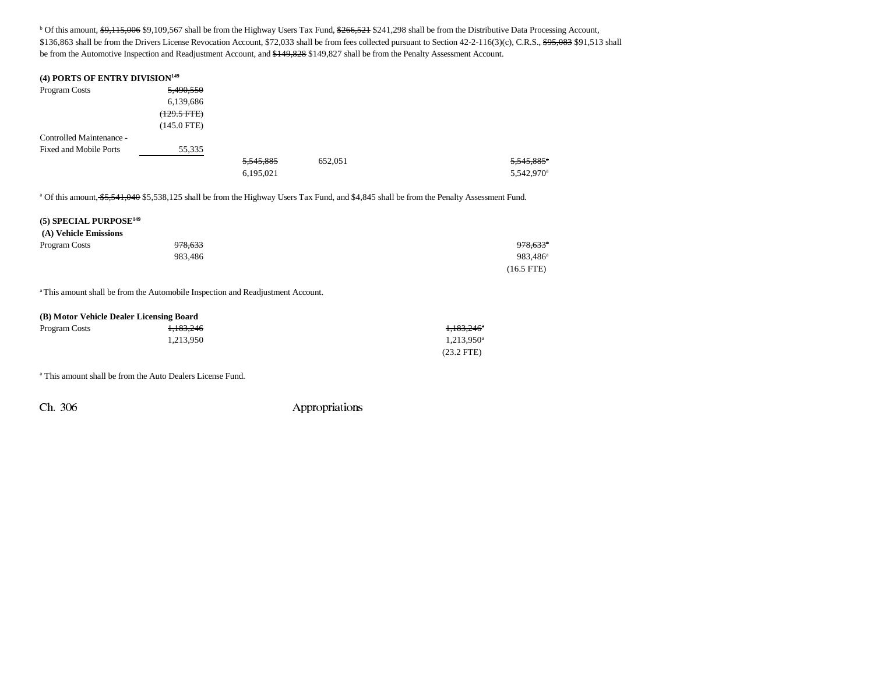<sup>b</sup> Of this amount, \$9,115,006 \$9,109,567 shall be from the Highway Users Tax Fund, \$266,521 \$241,298 shall be from the Distributive Data Processing Account, \$136,863 shall be from the Drivers License Revocation Account, \$72,033 shall be from fees collected pursuant to Section 42-2-116(3)(c), C.R.S., \$95,083 \$91,513 shall be from the Automotive Inspection and Readjustment Account, and \$149,828 \$149,827 shall be from the Penalty Assessment Account.

#### **(4) PORTS OF ENTRY DIVISION149**

| Program Costs                 | 5,490,550     |           |         |                        |
|-------------------------------|---------------|-----------|---------|------------------------|
|                               | 6,139,686     |           |         |                        |
|                               | (129.5 FTE)   |           |         |                        |
|                               | $(145.0$ FTE) |           |         |                        |
| Controlled Maintenance -      |               |           |         |                        |
| <b>Fixed and Mobile Ports</b> | 55,335        |           |         |                        |
|                               |               | 5,545,885 | 652,051 | 5,545,885 <sup>*</sup> |
|                               |               | 6,195,021 |         | 5,542,970 <sup>a</sup> |

a Of this amount, \$5,541,040 \$5,538,125 shall be from the Highway Users Tax Fund, and \$4,845 shall be from the Penalty Assessment Fund.

### **(5) SPECIAL PURPOSE149 (A) Vehicle Emissions** Program Costs 978,633 978,633a 983,486 983,486a (16.5 FTE)

<sup>a</sup> This amount shall be from the Automobile Inspection and Readjustment Account.

| (B) Motor Vehicle Dealer Licensing Board |           |                        |  |  |  |  |
|------------------------------------------|-----------|------------------------|--|--|--|--|
| Program Costs                            | 1.183.246 | <del>1,183,246</del> ° |  |  |  |  |
|                                          | 1.213.950 | $1,213,950^{\circ}$    |  |  |  |  |
|                                          |           | $(23.2$ FTE)           |  |  |  |  |

a This amount shall be from the Auto Dealers License Fund.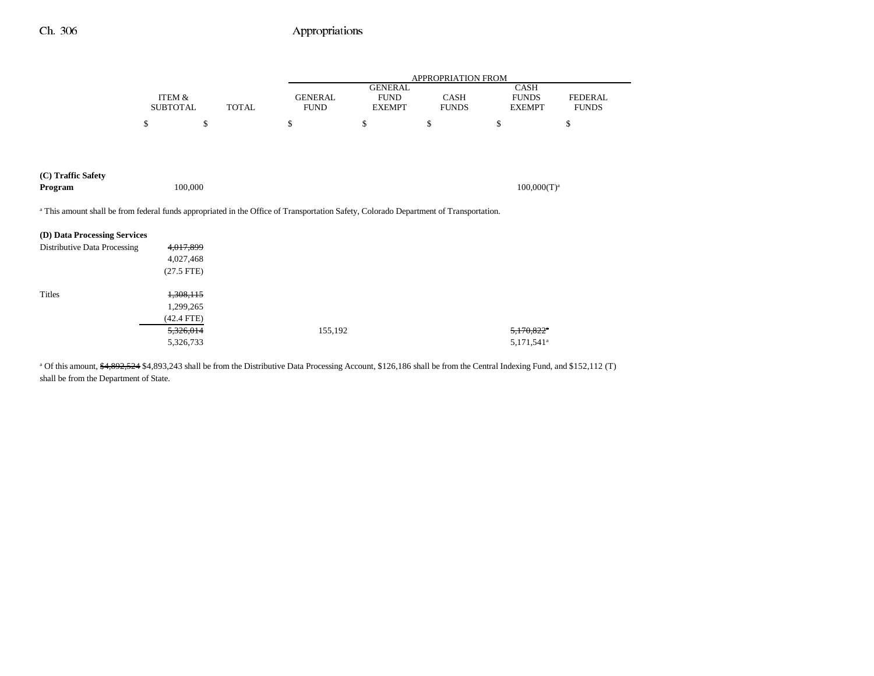|                                                                                                                                       |                 |              | APPROPRIATION FROM |                               |              |                             |                |
|---------------------------------------------------------------------------------------------------------------------------------------|-----------------|--------------|--------------------|-------------------------------|--------------|-----------------------------|----------------|
|                                                                                                                                       | ITEM &          |              | <b>GENERAL</b>     | <b>GENERAL</b><br><b>FUND</b> | <b>CASH</b>  | <b>CASH</b><br><b>FUNDS</b> | <b>FEDERAL</b> |
|                                                                                                                                       | <b>SUBTOTAL</b> | <b>TOTAL</b> | <b>FUND</b>        | <b>EXEMPT</b>                 | <b>FUNDS</b> | <b>EXEMPT</b>               | <b>FUNDS</b>   |
|                                                                                                                                       | \$              | \$           | \$                 | \$                            | \$           | \$                          | \$             |
|                                                                                                                                       |                 |              |                    |                               |              |                             |                |
|                                                                                                                                       |                 |              |                    |                               |              |                             |                |
| (C) Traffic Safety                                                                                                                    |                 |              |                    |                               |              |                             |                |
| Program                                                                                                                               | 100,000         |              |                    |                               |              | $100,000(T)^a$              |                |
| a This amount shall be from federal funds appropriated in the Office of Transportation Safety, Colorado Department of Transportation. |                 |              |                    |                               |              |                             |                |
| (D) Data Processing Services                                                                                                          |                 |              |                    |                               |              |                             |                |
| Distributive Data Processing                                                                                                          | 4,017,899       |              |                    |                               |              |                             |                |
|                                                                                                                                       | 4,027,468       |              |                    |                               |              |                             |                |
|                                                                                                                                       | $(27.5$ FTE)    |              |                    |                               |              |                             |                |
| Titles                                                                                                                                | 1,308,115       |              |                    |                               |              |                             |                |
|                                                                                                                                       | 1,299,265       |              |                    |                               |              |                             |                |
|                                                                                                                                       | $(42.4$ FTE)    |              |                    |                               |              |                             |                |
|                                                                                                                                       | 5,326,014       |              | 155,192            |                               |              | $5,170,822$ <sup>a</sup>    |                |
|                                                                                                                                       | 5,326,733       |              |                    |                               |              | 5,171,541 <sup>a</sup>      |                |

<sup>a</sup> Of this amount, \$4,892,524 \$4,893,243 shall be from the Distributive Data Processing Account, \$126,186 shall be from the Central Indexing Fund, and \$152,112 (T) shall be from the Department of State.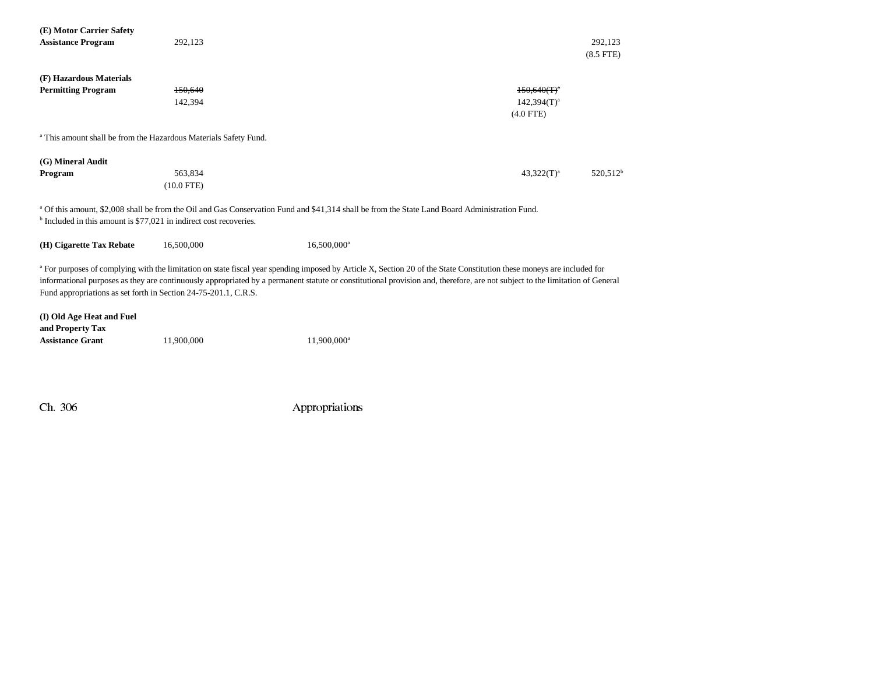| (E) Motor Carrier Safety                                                                                                                                                                                                                                                                                                                                                                                                             |              |                                                                                                                                                           |                |                           |  |  |
|--------------------------------------------------------------------------------------------------------------------------------------------------------------------------------------------------------------------------------------------------------------------------------------------------------------------------------------------------------------------------------------------------------------------------------------|--------------|-----------------------------------------------------------------------------------------------------------------------------------------------------------|----------------|---------------------------|--|--|
| <b>Assistance Program</b>                                                                                                                                                                                                                                                                                                                                                                                                            | 292,123      |                                                                                                                                                           |                | 292.123<br>$(8.5$ FTE $)$ |  |  |
| (F) Hazardous Materials                                                                                                                                                                                                                                                                                                                                                                                                              |              |                                                                                                                                                           |                |                           |  |  |
| <b>Permitting Program</b>                                                                                                                                                                                                                                                                                                                                                                                                            | 150,640      |                                                                                                                                                           | $150,640(T)^4$ |                           |  |  |
|                                                                                                                                                                                                                                                                                                                                                                                                                                      | 142,394      |                                                                                                                                                           | $142,394(T)^a$ |                           |  |  |
|                                                                                                                                                                                                                                                                                                                                                                                                                                      |              |                                                                                                                                                           | $(4.0$ FTE)    |                           |  |  |
| <sup>a</sup> This amount shall be from the Hazardous Materials Safety Fund.                                                                                                                                                                                                                                                                                                                                                          |              |                                                                                                                                                           |                |                           |  |  |
| (G) Mineral Audit                                                                                                                                                                                                                                                                                                                                                                                                                    |              |                                                                                                                                                           |                |                           |  |  |
| Program                                                                                                                                                                                                                                                                                                                                                                                                                              | 563,834      |                                                                                                                                                           | $43,322(T)^a$  | 520,512 <sup>b</sup>      |  |  |
|                                                                                                                                                                                                                                                                                                                                                                                                                                      | $(10.0$ FTE) |                                                                                                                                                           |                |                           |  |  |
|                                                                                                                                                                                                                                                                                                                                                                                                                                      |              | <sup>a</sup> Of this amount, \$2,008 shall be from the Oil and Gas Conservation Fund and \$41,314 shall be from the State Land Board Administration Fund. |                |                           |  |  |
| <sup>b</sup> Included in this amount is \$77,021 in indirect cost recoveries.                                                                                                                                                                                                                                                                                                                                                        |              |                                                                                                                                                           |                |                           |  |  |
| (H) Cigarette Tax Rebate                                                                                                                                                                                                                                                                                                                                                                                                             | 16,500,000   | 16,500,000 <sup>a</sup>                                                                                                                                   |                |                           |  |  |
| <sup>a</sup> For purposes of complying with the limitation on state fiscal year spending imposed by Article X, Section 20 of the State Constitution these moneys are included for<br>informational purposes as they are continuously appropriated by a permanent statute or constitutional provision and, therefore, are not subject to the limitation of General<br>Fund appropriations as set forth in Section 24-75-201.1, C.R.S. |              |                                                                                                                                                           |                |                           |  |  |
| (I) Old Age Heat and Fuel<br>and Property Tax<br><b>Assistance Grant</b>                                                                                                                                                                                                                                                                                                                                                             | 11,900,000   | 11,900,000 <sup>a</sup>                                                                                                                                   |                |                           |  |  |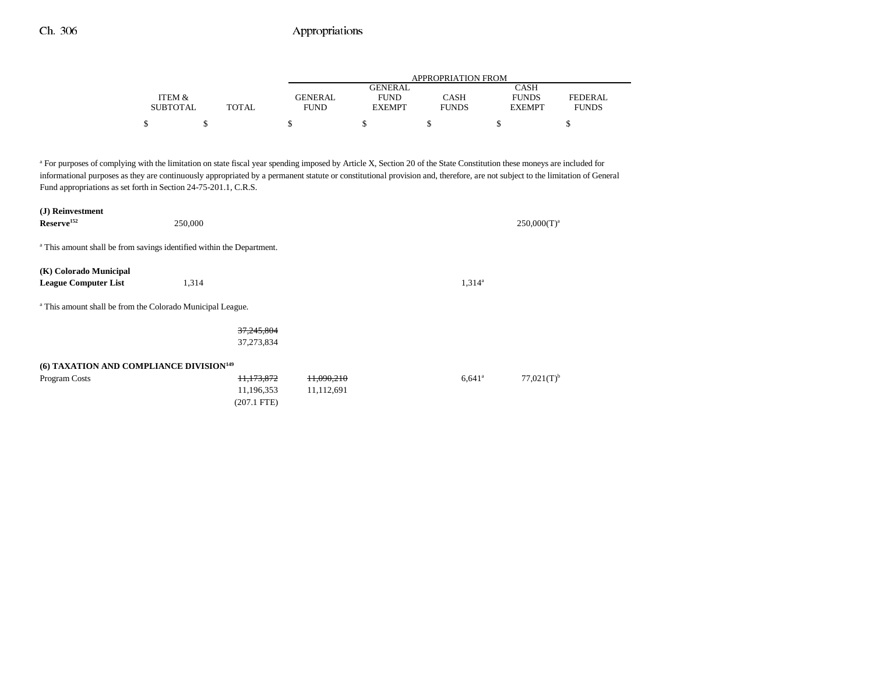|                 |              | APPROPRIATION FROM |               |              |               |              |  |
|-----------------|--------------|--------------------|---------------|--------------|---------------|--------------|--|
|                 |              |                    | GENERAL       |              | CASH          |              |  |
| ITEM &          |              | GENERAL            | <b>FUND</b>   | CASH         | <b>FUNDS</b>  | FEDERAL      |  |
| <b>SUBTOTAL</b> | <b>TOTAL</b> | <b>FUND</b>        | <b>EXEMPT</b> | <b>FUNDS</b> | <b>EXEMPT</b> | <b>FUNDS</b> |  |
|                 |              |                    |               |              |               |              |  |

<sup>a</sup> For purposes of complying with the limitation on state fiscal year spending imposed by Article X, Section 20 of the State Constitution these moneys are included for informational purposes as they are continuously appropriated by a permanent statute or constitutional provision and, therefore, are not subject to the limitation of General Fund appropriations as set forth in Section 24-75-201.1, C.R.S.

| (J) Reinvestment                                                                 |               |            |                 |                          |
|----------------------------------------------------------------------------------|---------------|------------|-----------------|--------------------------|
| Reserve <sup>152</sup>                                                           | 250,000       |            |                 | $250,000(T)^a$           |
|                                                                                  |               |            |                 |                          |
| <sup>a</sup> This amount shall be from savings identified within the Department. |               |            |                 |                          |
|                                                                                  |               |            |                 |                          |
| (K) Colorado Municipal                                                           |               |            |                 |                          |
| <b>League Computer List</b>                                                      | 1,314         |            | $1,314^a$       |                          |
|                                                                                  |               |            |                 |                          |
| <sup>a</sup> This amount shall be from the Colorado Municipal League.            |               |            |                 |                          |
|                                                                                  |               |            |                 |                          |
|                                                                                  | 37,245,804    |            |                 |                          |
|                                                                                  | 37,273,834    |            |                 |                          |
|                                                                                  |               |            |                 |                          |
| (6) TAXATION AND COMPLIANCE DIVISION <sup>149</sup>                              |               |            |                 |                          |
| Program Costs                                                                    | 11,173,872    | 11.090.210 | $6,641^{\circ}$ | $77,021(T)$ <sup>b</sup> |
|                                                                                  | 11,196,353    | 11,112,691 |                 |                          |
|                                                                                  | $(207.1$ FTE) |            |                 |                          |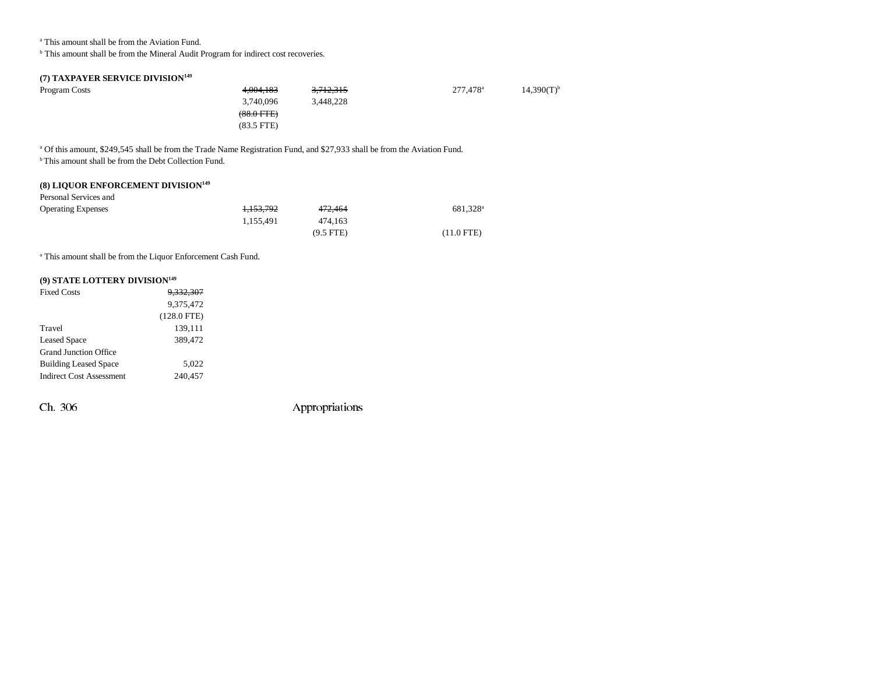a This amount shall be from the Aviation Fund.

 $<sup>b</sup>$  This amount shall be from the Mineral Audit Program for indirect cost recoveries.</sup>

### **(7) TAXPAYER SERVICE DIVISION149**

| Program Costs | 4.004.183            | 3,712,315 | 277,478 <sup>a</sup> | $14,390(T)^{b}$ |
|---------------|----------------------|-----------|----------------------|-----------------|
|               | 3,740,096            | 3.448.228 |                      |                 |
|               | $(88.0 \text{ FTE})$ |           |                      |                 |
|               | $(83.5$ FTE)         |           |                      |                 |

a Of this amount, \$249,545 shall be from the Trade Name Registration Fund, and \$27,933 shall be from the Aviation Fund.

<sup>b</sup> This amount shall be from the Debt Collection Fund.

# **(8) LIQUOR ENFORCEMENT DIVISION149**

| Personal Services and     |           |             |                      |
|---------------------------|-----------|-------------|----------------------|
| <b>Operating Expenses</b> | 1.153.792 | 472.464     | 681.328 <sup>a</sup> |
|                           | 1.155.491 | 474.163     |                      |
|                           |           | $(9.5$ FTE) | $(11.0$ FTE)         |

a This amount shall be from the Liquor Enforcement Cash Fund.

### **(9) STATE LOTTERY DIVISION149**

| <b>Fixed Costs</b>              | <del>9.332.307</del> |  |
|---------------------------------|----------------------|--|
|                                 | 9.375.472            |  |
|                                 | $(128.0$ FTE)        |  |
| Travel                          | 139,111              |  |
| Leased Space                    | 389,472              |  |
| Grand Junction Office           |                      |  |
| <b>Building Leased Space</b>    | 5,022                |  |
| <b>Indirect Cost Assessment</b> | 240,457              |  |
|                                 |                      |  |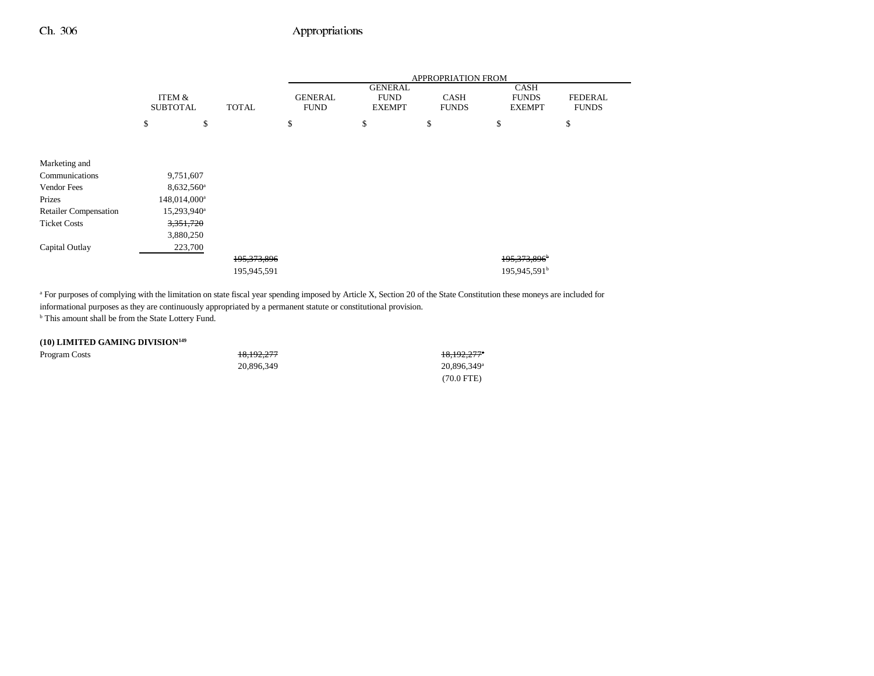|                              |                           |    |               | <b>APPROPRIATION FROM</b> |                               |                                                |                             |                                              |                                |
|------------------------------|---------------------------|----|---------------|---------------------------|-------------------------------|------------------------------------------------|-----------------------------|----------------------------------------------|--------------------------------|
|                              | ITEM &<br><b>SUBTOTAL</b> |    |               | <b>TOTAL</b>              | <b>GENERAL</b><br><b>FUND</b> | <b>GENERAL</b><br><b>FUND</b><br><b>EXEMPT</b> | <b>CASH</b><br><b>FUNDS</b> | <b>CASH</b><br><b>FUNDS</b><br><b>EXEMPT</b> | <b>FEDERAL</b><br><b>FUNDS</b> |
|                              |                           |    |               |                           |                               |                                                |                             |                                              |                                |
|                              | \$                        | \$ |               | \$                        | \$                            | \$                                             | \$                          | \$                                           |                                |
|                              |                           |    |               |                           |                               |                                                |                             |                                              |                                |
|                              |                           |    |               |                           |                               |                                                |                             |                                              |                                |
| Marketing and                |                           |    |               |                           |                               |                                                |                             |                                              |                                |
| Communications               | 9,751,607                 |    |               |                           |                               |                                                |                             |                                              |                                |
| Vendor Fees                  | 8,632,560 <sup>a</sup>    |    |               |                           |                               |                                                |                             |                                              |                                |
| Prizes                       | 148,014,000 <sup>a</sup>  |    |               |                           |                               |                                                |                             |                                              |                                |
| <b>Retailer Compensation</b> | 15,293,940 <sup>a</sup>   |    |               |                           |                               |                                                |                             |                                              |                                |
| <b>Ticket Costs</b>          | 3,351,720                 |    |               |                           |                               |                                                |                             |                                              |                                |
|                              | 3,880,250                 |    |               |                           |                               |                                                |                             |                                              |                                |
| Capital Outlay               | 223,700                   |    |               |                           |                               |                                                |                             |                                              |                                |
|                              |                           |    | 195, 373, 896 |                           |                               |                                                | 195,373,896 <sup>b</sup>    |                                              |                                |
|                              |                           |    | 195,945,591   |                           |                               |                                                | 195,945,591 <sup>b</sup>    |                                              |                                |

<sup>a</sup> For purposes of complying with the limitation on state fiscal year spending imposed by Article X, Section 20 of the State Constitution these moneys are included for informational purposes as they are continuously appropriated by a permanent statute or constitutional provision.

 $^{\rm b}$  This amount shall be from the State Lottery Fund.

#### **(10) LIMITED GAMING DIVISION149**

| Program Costs | 18.192.277 | 18.192.277 <sup>a</sup> |
|---------------|------------|-------------------------|
|               | 20.896.349 | 20.896.349 <sup>a</sup> |
|               |            | $(70.0$ FTE)            |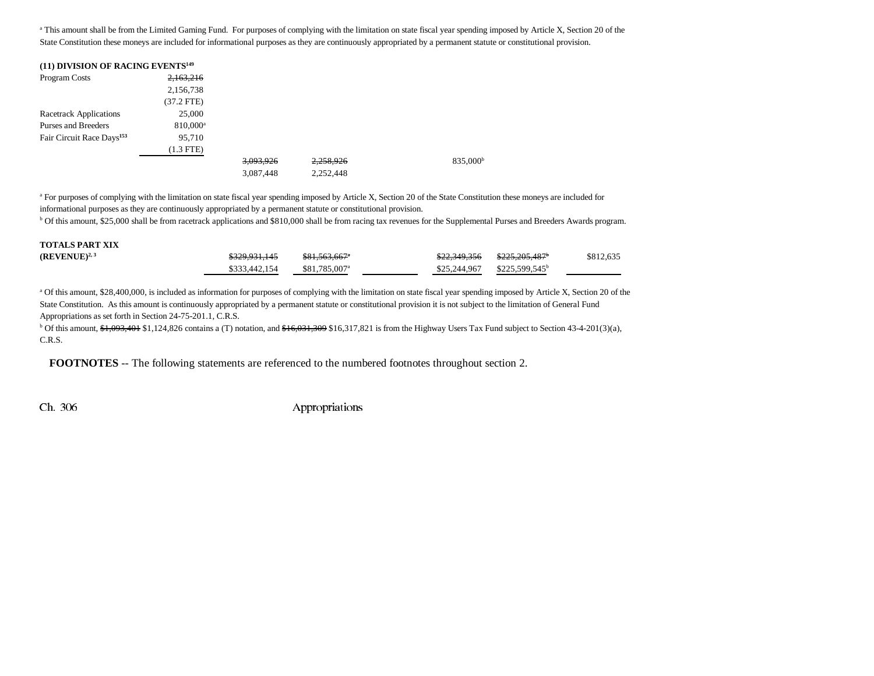<sup>a</sup> This amount shall be from the Limited Gaming Fund. For purposes of complying with the limitation on state fiscal year spending imposed by Article X, Section 20 of the State Constitution these moneys are included for informational purposes as they are continuously appropriated by a permanent statute or constitutional provision.

| (11) DIVISION OF RACING EVENTS <sup>149</sup> |             |           |           |                      |
|-----------------------------------------------|-------------|-----------|-----------|----------------------|
| Program Costs                                 | 2,163,216   |           |           |                      |
|                                               | 2,156,738   |           |           |                      |
|                                               | (37.2 FTE)  |           |           |                      |
| <b>Racetrack Applications</b>                 | 25,000      |           |           |                      |
| Purses and Breeders                           | $810,000^a$ |           |           |                      |
| Fair Circuit Race Days <sup>153</sup>         | 95,710      |           |           |                      |
|                                               | $(1.3$ FTE) |           |           |                      |
|                                               |             | 3,093,926 | 2,258,926 | 835,000 <sup>b</sup> |
|                                               |             | 3,087,448 | 2,252,448 |                      |

<sup>a</sup> For purposes of complying with the limitation on state fiscal year spending imposed by Article X, Section 20 of the State Constitution these moneys are included for informational purposes as they are continuously appropriated by a permanent statute or constitutional provision.

b Of this amount, \$25,000 shall be from racetrack applications and \$810,000 shall be from racing tax revenues for the Supplemental Purses and Breeders Awards program.

| <b>TOTALS PART XIX</b> |               |                           |              |                            |           |
|------------------------|---------------|---------------------------|--------------|----------------------------|-----------|
| $(REVENUE)^{2,3}$      | \$329,931,145 | \$81,563,667 <sup>*</sup> | \$22,349,356 | <del>\$225.205.487</del>   | \$812,635 |
|                        | \$333,442,154 | \$81,785,007 <sup>a</sup> | \$25,244,967 | \$225,599,545 <sup>b</sup> |           |

<sup>a</sup> Of this amount, \$28,400,000, is included as information for purposes of complying with the limitation on state fiscal year spending imposed by Article X, Section 20 of the State Constitution. As this amount is continuously appropriated by a permanent statute or constitutional provision it is not subject to the limitation of General Fund Appropriations as set forth in Section 24-75-201.1, C.R.S.

<sup>b</sup> Of this amount,  $\frac{1}{20}$ ,  $\frac{1}{20}$ ,  $\frac{401}{304}$ ,  $\frac{1}{31}$ ,  $\frac{1}{24}$ ,  $\frac{201}{304}$ ,  $\frac{201}{304}$ ,  $\frac{1}{204}$ ,  $\frac{1}{204}$ ,  $\frac{1}{204}$ ,  $\frac{1}{204}$ ,  $\frac{1}{204}$ ,  $\frac{1}{204}$ ,  $\frac{1}{204}$ ,  $\frac{1}{204}$ ,  $\frac{$ C.R.S.

**FOOTNOTES** -- The following statements are referenced to the numbered footnotes throughout section 2.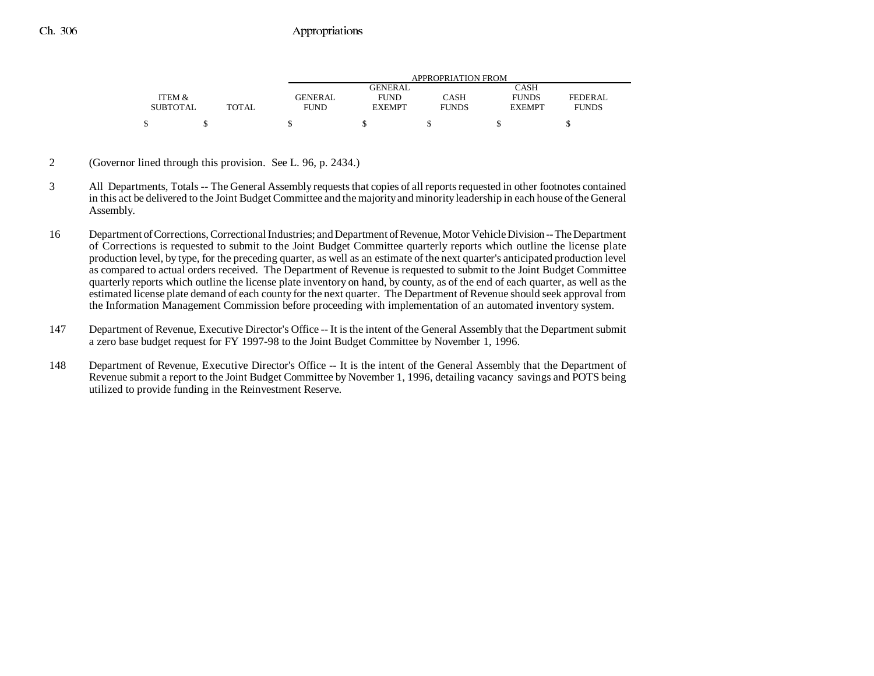|                 |       |                | APPROPRIATION FROM |              |               |              |  |  |
|-----------------|-------|----------------|--------------------|--------------|---------------|--------------|--|--|
|                 |       |                | GENERAL            |              | CASH          |              |  |  |
| ITEM &          |       | <b>GENERAL</b> | <b>FUND</b>        | CASH         | <b>FUNDS</b>  | FEDERAL      |  |  |
| <b>SUBTOTAL</b> | TOTAL | <b>FUND</b>    | <b>EXEMPT</b>      | <b>FUNDS</b> | <b>EXEMPT</b> | <b>FUNDS</b> |  |  |
| \$              |       |                |                    |              |               |              |  |  |

- 2 (Governor lined through this provision. See L. 96, p. 2434.)
- 3 All Departments, Totals -- The General Assembly requests that copies of all reports requested in other footnotes contained in this act be delivered to the Joint Budget Committee and the majority and minority leadership in each house of the General Assembly.
- 16 Department of Corrections, Correctional Industries; and Department of Revenue, Motor Vehicle Division **--** The Department of Corrections is requested to submit to the Joint Budget Committee quarterly reports which outline the license plate production level, by type, for the preceding quarter, as well as an estimate of the next quarter's anticipated production level as compared to actual orders received. The Department of Revenue is requested to submit to the Joint Budget Committee quarterly reports which outline the license plate inventory on hand, by county, as of the end of each quarter, as well as the estimated license plate demand of each county for the next quarter. The Department of Revenue should seek approval from the Information Management Commission before proceeding with implementation of an automated inventory system.
- 147 Department of Revenue, Executive Director's Office -- It is the intent of the General Assembly that the Department submit a zero base budget request for FY 1997-98 to the Joint Budget Committee by November 1, 1996.
- 148 Department of Revenue, Executive Director's Office -- It is the intent of the General Assembly that the Department of Revenue submit a report to the Joint Budget Committee by November 1, 1996, detailing vacancy savings and POTS being utilized to provide funding in the Reinvestment Reserve.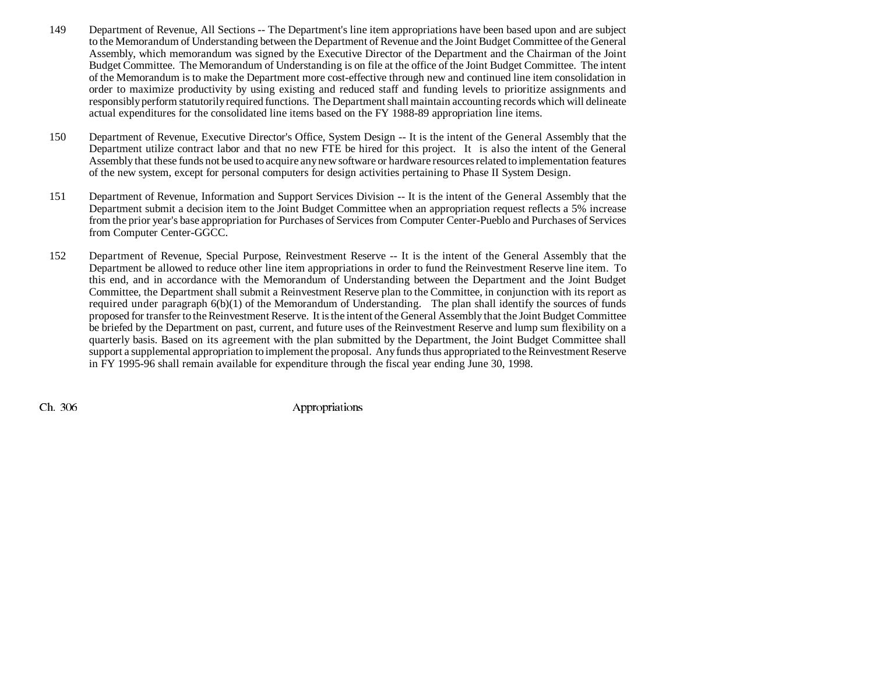- 149 Department of Revenue, All Sections -- The Department's line item appropriations have been based upon and are subject to the Memorandum of Understanding between the Department of Revenue and the Joint Budget Committee of the General Assembly, which memorandum was signed by the Executive Director of the Department and the Chairman of the Joint Budget Committee. The Memorandum of Understanding is on file at the office of the Joint Budget Committee. The intent of the Memorandum is to make the Department more cost-effective through new and continued line item consolidation in order to maximize productivity by using existing and reduced staff and funding levels to prioritize assignments and responsibly perform statutorily required functions. The Department shall maintain accounting records which will delineate actual expenditures for the consolidated line items based on the FY 1988-89 appropriation line items.
- 150 Department of Revenue, Executive Director's Office, System Design -- It is the intent of the General Assembly that the Department utilize contract labor and that no new FTE be hired for this project. It is also the intent of the General Assembly that these funds not be used to acquire any new software or hardware resources related to implementation features of the new system, except for personal computers for design activities pertaining to Phase II System Design.
- 151 Department of Revenue, Information and Support Services Division -- It is the intent of the General Assembly that the Department submit a decision item to the Joint Budget Committee when an appropriation request reflects a 5% increase from the prior year's base appropriation for Purchases of Services from Computer Center-Pueblo and Purchases of Services from Computer Center-GGCC.
- 152 Department of Revenue, Special Purpose, Reinvestment Reserve -- It is the intent of the General Assembly that the Department be allowed to reduce other line item appropriations in order to fund the Reinvestment Reserve line item. To this end, and in accordance with the Memorandum of Understanding between the Department and the Joint Budget Committee, the Department shall submit a Reinvestment Reserve plan to the Committee, in conjunction with its report as required under paragraph 6(b)(1) of the Memorandum of Understanding. The plan shall identify the sources of funds proposed for transfer to the Reinvestment Reserve. It is the intent of the General Assembly that the Joint Budget Committee be briefed by the Department on past, current, and future uses of the Reinvestment Reserve and lump sum flexibility on a quarterly basis. Based on its agreement with the plan submitted by the Department, the Joint Budget Committee shall support a supplemental appropriation to implement the proposal. Any funds thus appropriated to the Reinvestment Reserve in FY 1995-96 shall remain available for expenditure through the fiscal year ending June 30, 1998.